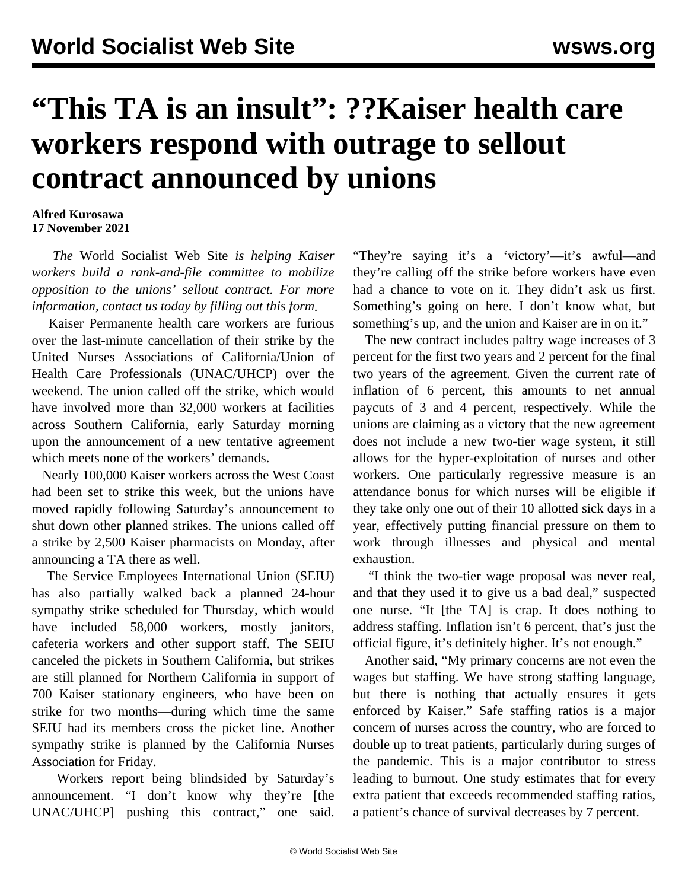## **"This TA is an insult": ??Kaiser health care workers respond with outrage to sellout contract announced by unions**

## **Alfred Kurosawa 17 November 2021**

 *The* World Socialist Web Site *is helping Kaiser workers build a rank-and-file committee to mobilize opposition to the unions' sellout contract. For more information, contact us today by filling out [this form](/en/special/pages/more-rank-and-file.html#join).*

 Kaiser Permanente health care workers are furious over the last-minute cancellation of their strike by the United Nurses Associations of California/Union of Health Care Professionals (UNAC/UHCP) over the weekend. The union called off the strike, which would have involved more than 32,000 workers at facilities across Southern California, early Saturday morning upon the announcement of a new tentative agreement which meets none of the workers' demands.

 Nearly 100,000 Kaiser workers across the West Coast had been set to strike this week, but the unions have moved rapidly following Saturday's announcement to shut down other planned strikes. The unions called off a strike by 2,500 Kaiser pharmacists on Monday, after announcing a TA there as well.

 The Service Employees International Union (SEIU) has also partially walked back a planned 24-hour sympathy strike scheduled for Thursday, which would have included 58,000 workers, mostly janitors, cafeteria workers and other support staff. The SEIU canceled the pickets in Southern California, but strikes are still planned for Northern California in support of 700 Kaiser stationary engineers, who have been on strike for two months—during which time the same SEIU had its members cross the picket line. Another sympathy strike is planned by the California Nurses Association for Friday.

 Workers report being blindsided by Saturday's announcement. "I don't know why they're [the UNAC/UHCP] pushing this contract," one said. "They're saying it's a 'victory'—it's awful—and they're calling off the strike before workers have even had a chance to vote on it. They didn't ask us first. Something's going on here. I don't know what, but something's up, and the union and Kaiser are in on it."

 The new contract includes paltry wage increases of 3 percent for the first two years and 2 percent for the final two years of the agreement. Given the current rate of inflation of 6 percent, this amounts to net annual paycuts of 3 and 4 percent, respectively. While the unions are claiming as a victory that the new agreement does not include a new two-tier wage system, it still allows for the hyper-exploitation of nurses and other workers. One particularly regressive measure is an attendance bonus for which nurses will be eligible if they take only one out of their 10 allotted sick days in a year, effectively putting financial pressure on them to work through illnesses and physical and mental exhaustion.

 "I think the two-tier wage proposal was never real, and that they used it to give us a bad deal," suspected one nurse. "It [the TA] is crap. It does nothing to address staffing. Inflation isn't 6 percent, that's just the official figure, it's definitely higher. It's not enough."

 Another said, "My primary concerns are not even the wages but staffing. We have strong staffing language, but there is nothing that actually ensures it gets enforced by Kaiser." Safe staffing ratios is a major concern of nurses across the country, who are forced to double up to treat patients, particularly during surges of the pandemic. This is a major contributor to stress leading to burnout. One study estimates that for every extra patient that exceeds recommended staffing ratios, a patient's chance of survival decreases by 7 percent.